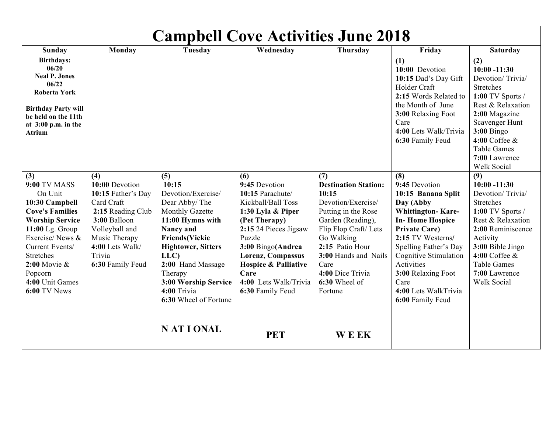| <b>Campbell Cove Activities June 2018</b>                                                                                                                                                                                                                |                                                                                                                                                                                    |                                                                                                                                                                                                                                                                                          |                                                                                                                                                                                                                                                                           |                                                                                                                                                                                                                                                        |                                                                                                                                                                                                                                                                                                             |                                                                                                                                                                                                                                        |
|----------------------------------------------------------------------------------------------------------------------------------------------------------------------------------------------------------------------------------------------------------|------------------------------------------------------------------------------------------------------------------------------------------------------------------------------------|------------------------------------------------------------------------------------------------------------------------------------------------------------------------------------------------------------------------------------------------------------------------------------------|---------------------------------------------------------------------------------------------------------------------------------------------------------------------------------------------------------------------------------------------------------------------------|--------------------------------------------------------------------------------------------------------------------------------------------------------------------------------------------------------------------------------------------------------|-------------------------------------------------------------------------------------------------------------------------------------------------------------------------------------------------------------------------------------------------------------------------------------------------------------|----------------------------------------------------------------------------------------------------------------------------------------------------------------------------------------------------------------------------------------|
| Sunday                                                                                                                                                                                                                                                   | Monday                                                                                                                                                                             | <b>Tuesday</b>                                                                                                                                                                                                                                                                           | Wednesday                                                                                                                                                                                                                                                                 | Thursday                                                                                                                                                                                                                                               | Friday                                                                                                                                                                                                                                                                                                      | <b>Saturday</b>                                                                                                                                                                                                                        |
| <b>Birthdays:</b><br>06/20<br><b>Neal P. Jones</b><br>06/22<br><b>Roberta York</b><br><b>Birthday Party will</b><br>be held on the 11th<br>at $3:00$ p.m. in the<br><b>Atrium</b>                                                                        |                                                                                                                                                                                    |                                                                                                                                                                                                                                                                                          |                                                                                                                                                                                                                                                                           |                                                                                                                                                                                                                                                        | (1)<br>10:00 Devotion<br>10:15 Dad's Day Gift<br>Holder Craft<br>2:15 Words Related to<br>the Month of June<br>3:00 Relaxing Foot<br>Care<br>4:00 Lets Walk/Trivia<br>6:30 Family Feud                                                                                                                      | (2)<br>$10:00 - 11:30$<br>Devotion/Trivia/<br><b>Stretches</b><br>$1:00$ TV Sports /<br>Rest & Relaxation<br>2:00 Magazine<br>Scavenger Hunt<br>$3:00$ Bingo<br>4:00 Coffee $\&$<br><b>Table Games</b><br>7:00 Lawrence<br>Welk Social |
| (3)<br><b>9:00 TV MASS</b><br>On Unit<br>10:30 Campbell<br><b>Cove's Families</b><br><b>Worship Service</b><br>11:00 Lg. Group<br>Exercise/News &<br>Current Events/<br><b>Stretches</b><br>$2:00$ Movie &<br>Popcorn<br>4:00 Unit Games<br>6:00 TV News | (4)<br>10:00 Devotion<br>10:15 Father's Day<br>Card Craft<br>2:15 Reading Club<br>3:00 Balloon<br>Volleyball and<br>Music Therapy<br>4:00 Lets Walk/<br>Trivia<br>6:30 Family Feud | (5)<br>10:15<br>Devotion/Exercise/<br>Dear Abby/The<br>Monthly Gazette<br>11:00 Hymns with<br>Nancy and<br><b>Friends(Vickie</b><br><b>Hightower, Sitters</b><br>LLC)<br>2:00 Hand Massage<br>Therapy<br>3:00 Worship Service<br>4:00 Trivia<br>6:30 Wheel of Fortune<br><b>NATIONAL</b> | (6)<br>9:45 Devotion<br>10:15 Parachute/<br>Kickball/Ball Toss<br>1:30 Lyla & Piper<br>(Pet Therapy)<br>2:15 24 Pieces Jigsaw<br>Puzzle<br>3:00 Bingo(Andrea<br>Lorenz, Compassus<br><b>Hospice &amp; Palliative</b><br>Care<br>4:00 Lets Walk/Trivia<br>6:30 Family Feud | (7)<br><b>Destination Station:</b><br>10:15<br>Devotion/Exercise/<br>Putting in the Rose<br>Garden (Reading),<br>Flip Flop Craft/Lets<br>Go Walking<br>2:15 Patio Hour<br>3:00 Hands and Nails<br>Care<br>4:00 Dice Trivia<br>6:30 Wheel of<br>Fortune | (8)<br>9:45 Devotion<br>10:15 Banana Split<br>Day (Abby<br><b>Whittington-Kare-</b><br><b>In-Home Hospice</b><br><b>Private Care)</b><br>2:15 TV Westerns/<br>Spelling Father's Day<br><b>Cognitive Stimulation</b><br>Activities<br>3:00 Relaxing Foot<br>Care<br>4:00 Lets WalkTrivia<br>6:00 Family Feud | (9)<br>$10:00 - 11:30$<br>Devotion/Trivia/<br>Stretches<br>1:00 TV Sports /<br>Rest & Relaxation<br>2:00 Reminiscence<br>Activity<br>3:00 Bible Jingo<br>4:00 Coffee $\&$<br><b>Table Games</b><br>7:00 Lawrence<br><b>Welk Social</b> |
|                                                                                                                                                                                                                                                          |                                                                                                                                                                                    |                                                                                                                                                                                                                                                                                          | <b>PET</b>                                                                                                                                                                                                                                                                | <b>WEEK</b>                                                                                                                                                                                                                                            |                                                                                                                                                                                                                                                                                                             |                                                                                                                                                                                                                                        |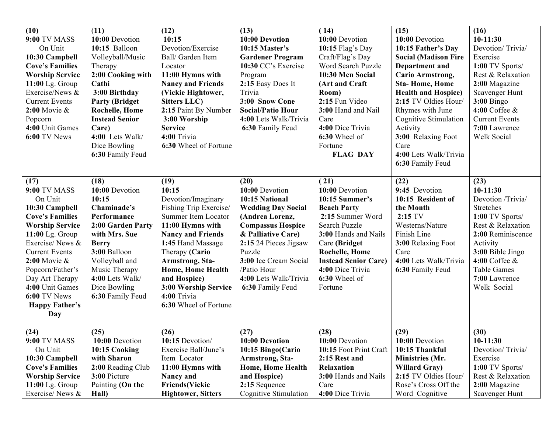| (10)<br><b>9:00 TV MASS</b><br>On Unit<br>10:30 Campbell<br><b>Cove's Families</b><br><b>Worship Service</b><br>11:00 Lg. Group<br>Exercise/News &<br><b>Current Events</b><br>$2:00$ Movie &<br>Popcorn<br>4:00 Unit Games<br>6:00 TV News                                                             | (11)<br>10:00 Devotion<br>10:15 Balloon<br>Volleyball/Music<br>Therapy<br>2:00 Cooking with<br>Cathi<br>3:00 Birthday<br><b>Party (Bridget)</b><br><b>Rochelle, Home</b><br><b>Instead Senior</b><br>Care)<br>4:00 Lets Walk/<br>Dice Bowling<br>6:30 Family Feud | (12)<br>10:15<br>Devotion/Exercise<br>Ball/ Garden Item<br>Locator<br>11:00 Hymns with<br><b>Nancy and Friends</b><br>(Vickie Hightower,<br><b>Sitters LLC)</b><br>2:15 Paint By Number<br>3:00 Worship<br><b>Service</b><br>4:00 Trivia<br>6:30 Wheel of Fortune                                          | (13)<br>10:00 Devotion<br>10:15 Master's<br><b>Gardener Program</b><br>10:30 CC's Exercise<br>Program<br>2:15 Easy Does It<br>Trivia<br>3:00 Snow Cone<br><b>Social/Patio Hour</b><br>4:00 Lets Walk/Trivia<br>6:30 Family Feud                                    | (14)<br>10:00 Devotion<br>10:15 Flag's Day<br>Craft/Flag's Day<br>Word Search Puzzle<br>10:30 Men Social<br>(Art and Craft<br>Room)<br>2:15 Fun Video<br>3:00 Hand and Nail<br>Care<br>4:00 Dice Trivia<br>6:30 Wheel of<br>Fortune<br><b>FLAG DAY</b> | (15)<br>10:00 Devotion<br>10:15 Father's Day<br><b>Social (Madison Fire</b><br>Department and<br><b>Cario Armstrong,</b><br><b>Sta-Home, Home</b><br><b>Health and Hospice)</b><br>2:15 TV Oldies Hour/<br>Rhymes with June<br><b>Cognitive Stimulation</b><br>Activity<br>3:00 Relaxing Foot<br>Care<br>4:00 Lets Walk/Trivia<br>6:30 Family Feud | (16)<br>$10-11:30$<br>Devotion/Trivia/<br>Exercise<br>1:00 TV Sports/<br>Rest & Relaxation<br>2:00 Magazine<br>Scavenger Hunt<br>$3:00$ Bingo<br>$4:00$ Coffee $\&$<br><b>Current Events</b><br>7:00 Lawrence<br>Welk Social      |
|---------------------------------------------------------------------------------------------------------------------------------------------------------------------------------------------------------------------------------------------------------------------------------------------------------|-------------------------------------------------------------------------------------------------------------------------------------------------------------------------------------------------------------------------------------------------------------------|------------------------------------------------------------------------------------------------------------------------------------------------------------------------------------------------------------------------------------------------------------------------------------------------------------|--------------------------------------------------------------------------------------------------------------------------------------------------------------------------------------------------------------------------------------------------------------------|--------------------------------------------------------------------------------------------------------------------------------------------------------------------------------------------------------------------------------------------------------|----------------------------------------------------------------------------------------------------------------------------------------------------------------------------------------------------------------------------------------------------------------------------------------------------------------------------------------------------|-----------------------------------------------------------------------------------------------------------------------------------------------------------------------------------------------------------------------------------|
| (17)<br><b>9:00 TV MASS</b><br>On Unit<br>10:30 Campbell<br><b>Cove's Families</b><br><b>Worship Service</b><br>11:00 Lg. Group<br>Exercise/News &<br><b>Current Events</b><br>$2:00$ Movie &<br>Popcorn/Father's<br>Day Art Therapy<br>4:00 Unit Games<br>6:00 TV News<br><b>Happy Father's</b><br>Day | (18)<br>10:00 Devotion<br>10:15<br>Chaminade's<br>Performance<br>2:00 Garden Party<br>with Mrs. Sue<br><b>Berry</b><br>3:00 Balloon<br>Volleyball and<br>Music Therapy<br>4:00 Lets Walk/<br>Dice Bowling<br>6:30 Family Feud                                     | (19)<br>10:15<br>Devotion/Imaginary<br>Fishing Trip Exercise/<br><b>Summer Item Locator</b><br>11:00 Hymns with<br><b>Nancy and Friends</b><br>1:45 Hand Massage<br>Therapy (Cario<br>Armstrong, Sta-<br>Home, Home Health<br>and Hospice)<br>3:00 Worship Service<br>4:00 Trivia<br>6:30 Wheel of Fortune | (20)<br>10:00 Devotion<br>10:15 National<br><b>Wedding Day Social</b><br>(Andrea Lorenz,<br><b>Compassus Hospice</b><br>& Palliative Care)<br>2:15 24 Pieces Jigsaw<br>Puzzle<br>3:00 Ice Cream Social<br>/Patio Hour<br>4:00 Lets Walk/Trivia<br>6:30 Family Feud | (21)<br>10:00 Devotion<br>10:15 Summer's<br><b>Beach Party</b><br>2:15 Summer Word<br>Search Puzzle<br>3:00 Hands and Nails<br>Care (Bridget<br><b>Rochelle, Home</b><br><b>Instead Senior Care)</b><br>4:00 Dice Trivia<br>6:30 Wheel of<br>Fortune   | (22)<br>9:45 Devotion<br>10:15 Resident of<br>the Month<br>$2:15$ TV<br>Westerns/Nature<br>Finish Line<br>3:00 Relaxing Foot<br>Care<br>4:00 Lets Walk/Trivia<br>6:30 Family Feud                                                                                                                                                                  | (23)<br>$10-11:30$<br>Devotion /Trivia/<br><b>Stretches</b><br>1:00 TV Sports/<br>Rest & Relaxation<br>2:00 Reminiscence<br>Activity<br>3:00 Bible Jingo<br>$4:00$ Coffee &<br><b>Table Games</b><br>7:00 Lawrence<br>Welk Social |
| (24)<br><b>9:00 TV MASS</b><br>On Unit<br>10:30 Campbell<br><b>Cove's Families</b><br><b>Worship Service</b><br>$11:00$ Lg. Group<br>Exercise/News &                                                                                                                                                    | (25)<br>10:00 Devotion<br>10:15 Cooking<br>with Sharon<br>2:00 Reading Club<br>3:00 Picture<br>Painting (On the<br>Hall)                                                                                                                                          | (26)<br>10:15 Devotion/<br>Exercise Ball/June's<br>Item Locator<br>11:00 Hymns with<br>Nancy and<br><b>Friends(Vickie</b><br><b>Hightower, Sitters</b>                                                                                                                                                     | (27)<br>10:00 Devotion<br>10:15 Bingo(Cario<br>Armstrong, Sta-<br>Home, Home Health<br>and Hospice)<br>2:15 Sequence<br><b>Cognitive Stimulation</b>                                                                                                               | (28)<br>10:00 Devotion<br>10:15 Foot Print Craft<br>2:15 Rest and<br>Relaxation<br>3:00 Hands and Nails<br>Care<br>4:00 Dice Trivia                                                                                                                    | (29)<br>10:00 Devotion<br>10:15 Thankful<br>Ministries (Mr.<br><b>Willard Gray</b> )<br>2:15 TV Oldies Hour/<br>Rose's Cross Off the<br>Word Cognitive                                                                                                                                                                                             | (30)<br>10-11:30<br>Devotion/Trivia/<br>Exercise<br>1:00 TV Sports/<br>Rest & Relaxation<br>2:00 Magazine<br>Scavenger Hunt                                                                                                       |